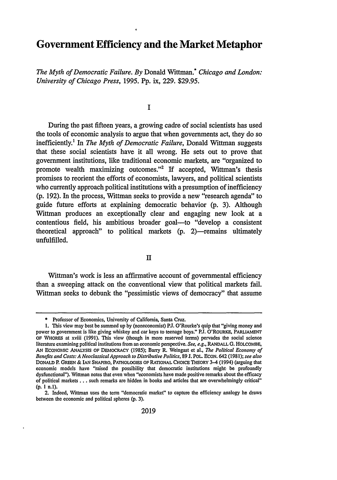## **Government Efficiency and the Market Metaphor**

*The Myth of Democratic Failure. By* Donald Wittman.\* *Chicago and London: University of Chicago Press,* 1995. Pp. ix, 229. \$29.95.

**I**

During the past fifteen years, a growing cadre of social scientists has used the tools of economic analysis to argue that when governments act, they do so inefficiently.' In *The Myth of Democratic Failure,* Donald Wittman suggests that these social scientists have it all wrong. He sets out to prove that government institutions, like traditional economic markets, are "organized to promote wealth maximizing outcomes."<sup>2</sup> If accepted, Wittman's thesis promises to reorient the efforts of economists, lawyers, and political scientists who currently approach political institutions with a presumption of inefficiency (p. 192). In the process, Wittman seeks to provide a new "research agenda" to guide future efforts at explaining democratic behavior (p. 3). Although Wittman produces an exceptionally clear and engaging new look at a contentious field, his ambitious broader goal-to "develop a consistent theoretical approach" to political markets  $(p. 2)$ —remains ultimately unfulfilled.

II

Wittman's work is less an affirmative account of governmental efficiency than a sweeping attack on the conventional view that political markets fail. Wittman seeks to debunk the "pessimistic views of democracy" that assume

**<sup>\*</sup>** Professor of Economics, University of California, Santa Cruz.

**<sup>1.</sup>** This view may best be summed up by (noneconomist) PJ. O'Rourke's quip that "giving money and power to government is like giving whiskey and car keys to teenage boys." PJ. O'ROURKE, PARLIAMENT OF WHORES at xviii (1991). This view (though in more reserved terms) pervades the social science literature examining political institutions from an economic perspective. *See, e.g.,* RANDALL G. HOLCOMBE, **AN** ECONOMIC ANALYSIS **OF DEMOCRACY** (1985); Barry R. Weingast et al., *The Political Economy of Benefits and Costs: A Neoclassical Approach to Distributive Politics,* 89 J. POL ECON. 642 (1981); *see also* DONALD P. GREEN & IAN SHAPIRO, **PATHOLOGIES** OF RATIONAL CHOICE THEORY 3-4 (1994) (arguing that economic models have "raised the possibility that democratic institutions might- be profoundly dysfunctional"). Wittman notes that even when "economists have made positive remarks about the efficacy of political markets **...** such remarks are hidden in books and articles that are overwhelmingly critical" **(p. I n.1).**

<sup>2.</sup> Indeed, Wittman uses the term "democratic market" to capture the efficiency analogy he draws between the economic and political spheres (p. 3).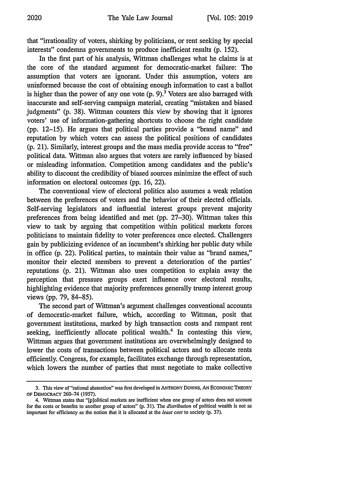that "irrationality of voters, shirking by politicians, or rent seeking by special interests" condemns governments to produce inefficient results (p. 152).

In the first part of his analysis, Wittman challenges what he claims is at the core of the standard argument for democratic-market failure: The assumption that voters are ignorant. Under this assumption, voters are uninformed because the cost of obtaining enough information to cast a ballot is higher than the power of any one vote  $(p, 9)$ <sup>3</sup> Voters are also barraged with inaccurate and self-serving campaign material, creating "mistaken and biased judgments" (p. 38). Wittman counters this view by showing that it ignores voters' use of information-gathering shortcuts to choose the right candidate (pp. 12-15). He argues that political parties provide a "brand name" and reputation by which voters can assess the political positions of candidates (p. 21). Similarly, interest groups and the mass media provide access to "free" political data. Wittman also argues that voters are rarely influenced by biased or misleading information. Competition among candidates and the public's ability to discount the credibility of biased sources minimize the effect of such information on electoral outcomes (pp. 16, 22).

The conventional view of electoral politics also assumes a weak relation between the preferences of voters and the behavior of their elected officials. Self-serving legislators and influential interest groups prevent majority preferences from being identified and met (pp. 27-30). Wittman takes this view to task by arguing that competition within political markets forces politicians to maintain fidelity to voter preferences once elected. Challengers gain by publicizing evidence of an incumbent's shirking her public duty while in office (p. 22). Political parties, to maintain their value as "brand names," monitor their elected members to prevent a deterioration of the parties' reputations (p. 21). Wittman also uses competition to explain away the perception that pressure groups exert influence over electoral results, highlighting evidence that majority preferences generally trump interest group views (pp. 79, 84-85).

The second part of Wittman's argument challenges conventional accounts of democratic-market failure, which, according to Wittman, posit that government institutions, marked by high transaction costs and rampant rent seeking, inefficiently allocate political wealth.<sup>4</sup> In contesting this view, Wittman argues that government institutions are overwhelmingly designed to lower the costs of transactions between political actors and to allocate rents efficiently. Congress, for example, facilitates exchange through representation, which lowers the number of parties that must negotiate to make collective

**<sup>3.</sup>** This view of "rational abstention" was first developed in ANTHONY DOWNS, AN ECONOMIC THEORY OF DEMOCRACY 260-74 **(1957).**

<sup>4.</sup> Wittman states that "[plolitical markets are inefficient when one group of actors does not account for the costs or benefits to another group of actors" (p. 31). The distribution of political wealth is not as important for efficiency as the notion that it is allocated at the least cost to society (p. 37).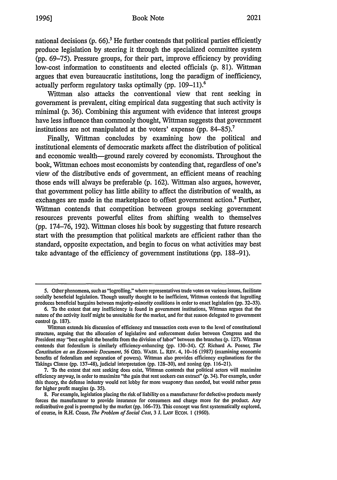## Book Note **1996] 2021**

national decisions **(p. 66).'** He further contends that political parties efficiently produce legislation **by** steering it through the specialized committee system **(pp. 69-75).** Pressure groups, for their part, improve efficiency **by** providing low-cost information to constituents and elected officials **(p. 81).** Wittman argues that even bureaucratic institutions, long the paradigm of inefficiency, actually perform regulatory tasks optimally **(pp. 109-11).6**

Wittman also attacks the conventional view that rent seeking in government is prevalent, citing empirical data suggesting that such activity is minimal **(p. 36).** Combining this argument with evidence that interest groups have less influence than commonly thought, Wittman suggests that government institutions are not manipulated at the voters' expense **(pp. 84-85).'**

Finally, Wittman concludes **by** examining how the political and institutional elements of democratic markets affect the distribution of political and economic wealth-ground rarely covered **by** economists. Throughout the book, Wittman echoes most economists **by** contending that, regardless of one's view of the distributive ends of government, an efficient means of reaching those ends will always be preferable **(p. 162).** Wittman also argues, however, that government policy has little ability to affect the distribution of wealth, as exchanges are made in the marketplace to offset government action.<sup>8</sup> Further, Wittman contends that competition between groups seeking government resources prevents powerful elites from shifting wealth to themselves **(pp. 174-76, 192).** Wittman closes his book **by** suggesting that future research start with the presumption that political markets are efficient rather than the standard, opposite expectation, and begin to focus on what activities may best take advantage of the efficiency of government institutions **(pp. 188-91).**

**<sup>5.</sup>** Other phenomena, such as "logrolling," where representatives trade votes on various issues, facilitate socially beneficial legislation. Though usually thought to be inefficient, Wittman contends that logrolling produces beneficial bargains between majority-minority coalitions in order to enact legislation **(pp. 32-33).**

**<sup>6.</sup>** To the extent that any inefficiency is found in government institutions, ittman argues that the nature of the activity itself might be unsuitable for the market, and for that reason delegated to government control **(p. 187).**

Wittman extends his discussion of efficiency and transaction costs even to the level of constitutional structure, arguing that the allocation of legislative and enforcement duties between Congress and the President may "best exploit the benefits from the division of labor" between the branches **(p. 127).** Wittman contends that federalism is similarly efficiency-enhancing **(pp.** 130-34). **Cf.** Richard **A.** Posner, *The* Constitution as an Economic Document, **56 GEO. WASH.** L. REV. 4, **10-16 (1987)** (examining economic benefits of federalism and separation of powers). Wittman also provides efficiency explanations for the Takings Clause **(pp. 137-48),** judicial interpretation **(pp. 128-30),** and zoning **(pp. 116-21).**

**<sup>7.</sup>** To the extent that rent seeking does exist, Wittman contends that political actors will maximize efficiency anyway, in order to maximize "the gain that rent seekers can extract" (p. 34). For example, under this theory, the defense industry would not lobby for more weaponry than needed, but would rather press for higher profit margins **(p. 35).**

**<sup>8.</sup>** For example, legislation placing the risk of liability on a manufacturer for defective products merely forces the manufacturer to provide insurance for consumers and charge more for the product. Any redistributive goal is preempted **by** the market **(pp. 166-73).** This concept was first systematically explored, of course, in R.H. Coase, *The* Problem of Social Cost, **3 J. LAW** ECON. **I (1960).**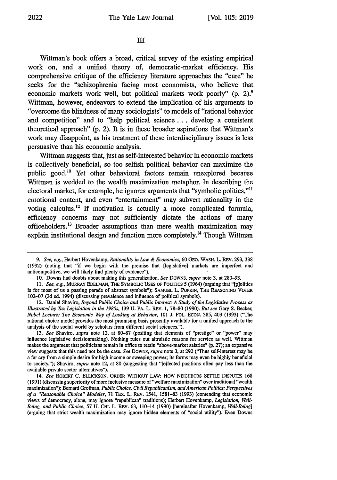## **I**

Wittman's book offers a broad, critical survey of the existing empirical work on, and a unified theory of, democratic-market efficiency. His comprehensive critique of the efficiency literature approaches the "cure" he seeks for the "schizophrenia facing most economists, who believe that economic markets work well, but political markets work poorly" (p. 2).<sup>9</sup> Wittman, however, endeavors to extend the implication of his arguments to "overcome the blindness of many sociologists" to models of "rational behavior and competition" and to "help political science.., develop a consistent theoretical approach" **(p.** 2). It is in these broader aspirations that Wittman's work may disappoint, as his treatment of these interdisciplinary issues is less persuasive than his economic analysis.

Wittman suggests that, just as self-interested behavior in economic markets is collectively beneficial, so too selfish political behavior can maximize the public good.'0 Yet other behavioral factors remain unexplored because Wittman is wedded to the wealth maximization metaphor. In describing the electoral market, for example, he ignores arguments that "symbolic politics,""I emotional content, and even "entertainment" may subvert rationality in the voting calculus. 12 If motivation is actually a more complicated formula, efficiency concerns may not sufficiently dictate the actions of many officeholders. 13 Broader assumptions than mere wealth maximization may explain institutional design and function more completely.<sup>14</sup> Though Wittman

*<sup>9.</sup> See, e.g.,* Herbert Hovenkamp, *Rationality in Law & Economics,* 60 **GEO.** WASH. L. REv. 293, 338 (1992) (noting that "if we begin with the premise that [legislative] markets are imperfect and anticompetitive, we will likely find plenty of evidence").

<sup>10.</sup> Downs had doubts about making this generalization. *See* DOWNS, *supra* note 3, at 280-93.

*<sup>11.</sup> See, e.g.,* MURRAY **EDELMAN,** THE SYMBOLIC **USES** OF POLITCS 5 (1964) (arguing that "[p]olitics is for most of us a passing parade of abstract symbols"); SAMUEL L. POPKIN, THE REASONING VOTER 102-07 (2d ed. 1994) (discussing prevalence and influence of political symbols).

<sup>12.</sup> Daniel Shaviro, *Beyond Public Choice and Public Interest: A Study of the Legislative Process as Illustrated by Tax Legislation in the 1980s,* 139 U. PA. L. REv. **1,** 78-80 (1990). *But see* Gary S. Becker, *Nobel Lecture: The Economic Way of Looking at Behavior,* 101 J. POL. ECON. 385, 403 (1993) ("The rational choice model provides the most promising basis presently available for a unified approach to the analysis of the social world by scholars from different social sciences.").

<sup>13.</sup> *See* Shaviro, *supra* note 12, at 80-87 (positing that elements of "prestige" or "power" may influence legislative decisionmaking). Nothing rules out altruistic reasons for service as well. Wittman makes the argument that politicians remain in office to retain "above-market salaries" (p. 27); an expansive view suggests that this need not be the case. *See* DOWNS, *supra* note 3, at 292 ("Thus self-interest may be a far cry from a simple desire for high income or sweeping power, its forms may even be highly beneficial to society."); Shaviro, *supra* note 12, at 80 (suggesting that "[e]lected positions often pay less than the available private sector alternatives").

<sup>14.</sup> *See* ROBERT **C. ELLICKSON,** ORDER WITHOUT LAW: How **NEIGHBORS SETTLE** DISPUTES **168** (1991) (discussing superiority of more inclusive measure of "welfare maximization" over traditional "wealth maximization"); Bernard Grofman, *Public Choice, Civil Republicanism, andAmerican Politics: Perspectives of a "Reasonable Choice" Modeler,* 71 TaX. L. REV. 1541, 1581-83 (1993) (contending that economic views of democracy, alone, may ignore "republican" traditions); Herbert Hovenkamp, *Legislation, Well-Being, and Public Choice,* 57 **U.** CHI. L. REv. 63, 110-14 (1990) [hereinafter Hovenkamp, *Well-Being]* (arguing that strict wealth maximization may ignore hidden elements of "social utility"). Even Downs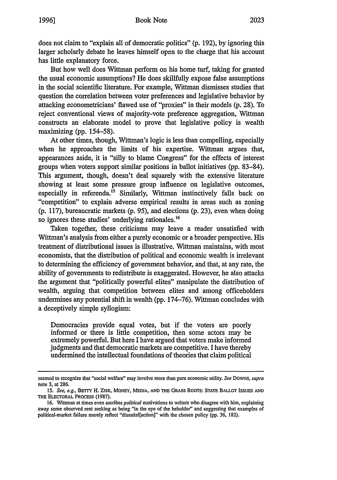does not claim to "explain all of democratic politics" (p. 192), by ignoring this larger scholarly debate he leaves himself open to the charge that his account has little explanatory force.

But how well does Wittman perform on his home turf, taking for granted the usual economic assumptions? He does skillfully expose false assumptions in the social scientific literature. For example, Wittman dismisses studies that question the correlation between voter preferences and legislative behavior by attacking econometricians' flawed use of "proxies" in their models (p. 28). To reject conventional views of majority-vote preference aggregation, Wittman constructs an elaborate model to prove that legislative policy is wealth maximizing (pp. 154-58).

At other times, though, Wittman's logic is less than compelling, especially when he approaches the limits of his expertise. Wittman argues that, appearances aside, it is "silly to blame Congress" for the effects of interest groups when voters support similar positions in ballot initiatives (pp. 83-84). This argument, though, doesn't deal squarely with the extensive literature showing at least some pressure group influence on legislative outcomes, especially in referenda.<sup>15</sup> Similarly, Wittman instinctively falls back on "competition" to explain adverse empirical results in areas such as zoning (p. 117), bureaucratic markets (p. 95), and elections (p. 23), even when doing so ignores these studies' underlying rationales. $16$ 

Taken together, these criticisms may leave a reader unsatisfied with Wittman's analysis from either a purely economic or a broader perspective. His treatment of distributional issues is illustrative. Wittman maintains, with most economists, that the distribution of political and economic wealth is irrelevant to determining the efficiency of government behavior, and that, at any rate, the ability of governments to redistribute is exaggerated. However, he also attacks the argument that "politically powerful elites" manipulate the distribution of wealth, arguing that competition between elites and among officeholders undermines any potential shift in wealth (pp. 174-76). Wittman concludes with a deceptively simple syllogism:

Democracies provide equal votes, but if the voters are poorly informed or there is little competition, then some actors may be extremely powerful. But here I have argued that voters make informed judgments and that democratic markets are competitive. I have thereby undermined the intellectual foundations of theories that claim political

seemed to recognize that "social welfare" may involve more than pure economic utility. *See* **DOWNS,** *supra* note 3, at 286.

**<sup>15.</sup>** *See, e.g.,* **BErrY** H. ZISK, MONEY, **MEDIA, AND** THE **GRASS** ROOTS: **STATE** BALLOT **ISSUES AND THE** ELECTORAL **PROCESS** (1987).

<sup>16.</sup> Wittman at times even ascribes *political* motivations to writers who disagree with him, explaining away some observed rent seeking as being "in the eye of the beholder" and suggesting that examples of political-market failure merely reflect "dissatisf[action]" with the chosen policy (pp. 36, 182).